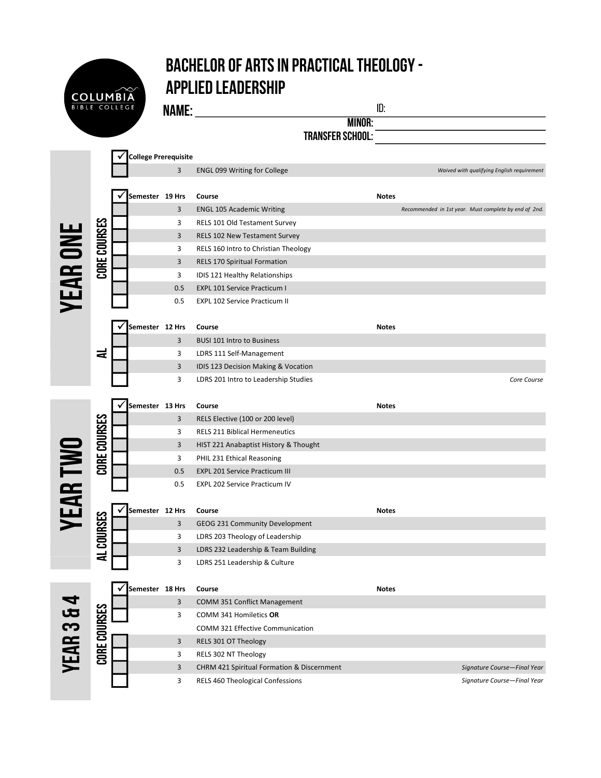## Bachelor of Arts in Practical Theology - Applied Leadership

Name: id:

**COLUMBIA** 

|        | IŊ |
|--------|----|
| MINOR: |    |

Transfer School:

|                       |              | <b>College Prerequisite</b> |     |                                            |              |                                                       |
|-----------------------|--------------|-----------------------------|-----|--------------------------------------------|--------------|-------------------------------------------------------|
|                       |              |                             | 3   | <b>ENGL 099 Writing for College</b>        |              | Waived with qualifying English requirement            |
|                       |              |                             |     |                                            |              |                                                       |
|                       |              | Semester 19 Hrs             |     | Course                                     | <b>Notes</b> |                                                       |
|                       |              |                             | 3   | <b>ENGL 105 Academic Writing</b>           |              | Recommended in 1st year. Must complete by end of 2nd. |
|                       |              |                             | 3   | RELS 101 Old Testament Survey              |              |                                                       |
|                       | CORE COURSES |                             | 3   | <b>RELS 102 New Testament Survey</b>       |              |                                                       |
|                       |              |                             | 3   | RELS 160 Intro to Christian Theology       |              |                                                       |
|                       |              |                             | 3   | <b>RELS 170 Spiritual Formation</b>        |              |                                                       |
|                       |              |                             | 3   | IDIS 121 Healthy Relationships             |              |                                                       |
|                       |              |                             | 0.5 | <b>EXPL 101 Service Practicum I</b>        |              |                                                       |
| <b>YEAR ONI</b>       |              |                             | 0.5 | <b>EXPL 102 Service Practicum II</b>       |              |                                                       |
|                       |              |                             |     |                                            |              |                                                       |
|                       |              | Semester 12 Hrs             |     | Course                                     | <b>Notes</b> |                                                       |
|                       |              |                             | 3   | <b>BUSI 101 Intro to Business</b>          |              |                                                       |
|                       | ᆮ            |                             | 3   | LDRS 111 Self-Management                   |              |                                                       |
|                       |              |                             | 3   | IDIS 123 Decision Making & Vocation        |              |                                                       |
|                       |              |                             | 3   | LDRS 201 Intro to Leadership Studies       |              | Core Course                                           |
|                       |              |                             |     |                                            |              |                                                       |
|                       |              | Semester 13 Hrs             |     | Course                                     | <b>Notes</b> |                                                       |
|                       |              |                             | 3   | RELS Elective (100 or 200 level)           |              |                                                       |
|                       | CORE COURSES |                             | 3   | <b>RELS 211 Biblical Hermeneutics</b>      |              |                                                       |
|                       |              |                             | 3   | HIST 221 Anabaptist History & Thought      |              |                                                       |
|                       |              |                             | 3   | PHIL 231 Ethical Reasoning                 |              |                                                       |
|                       |              |                             | 0.5 | <b>EXPL 201 Service Practicum III</b>      |              |                                                       |
| <b>YEAR TWO</b>       |              |                             | 0.5 | <b>EXPL 202 Service Practicum IV</b>       |              |                                                       |
|                       |              |                             |     |                                            |              |                                                       |
|                       |              | Semester 12 Hrs             |     | Course                                     | <b>Notes</b> |                                                       |
|                       |              |                             | 3   | GEOG 231 Community Development             |              |                                                       |
|                       |              |                             | 3   | LDRS 203 Theology of Leadership            |              |                                                       |
|                       | AL COURSES   |                             | 3   | LDRS 232 Leadership & Team Building        |              |                                                       |
|                       |              |                             | 3   | LDRS 251 Leadership & Culture              |              |                                                       |
|                       |              |                             |     |                                            |              |                                                       |
|                       |              | Semester 18 Hrs             |     | Course                                     | <b>Notes</b> |                                                       |
|                       |              |                             | 3   | COMM 351 Conflict Management               |              |                                                       |
|                       |              |                             | 3   | COMM 341 Homiletics OR                     |              |                                                       |
|                       |              |                             |     | COMM 321 Effective Communication           |              |                                                       |
|                       |              |                             | 3   | RELS 301 OT Theology                       |              |                                                       |
| <b>YEAR 3 &amp; 4</b> | CORE COURSES |                             | 3   | RELS 302 NT Theology                       |              |                                                       |
|                       |              |                             | 3   | CHRM 421 Spiritual Formation & Discernment |              | Signature Course-Final Year                           |
|                       |              |                             | 3   | RELS 460 Theological Confessions           |              | Signature Course-Final Year                           |
|                       |              |                             |     |                                            |              |                                                       |